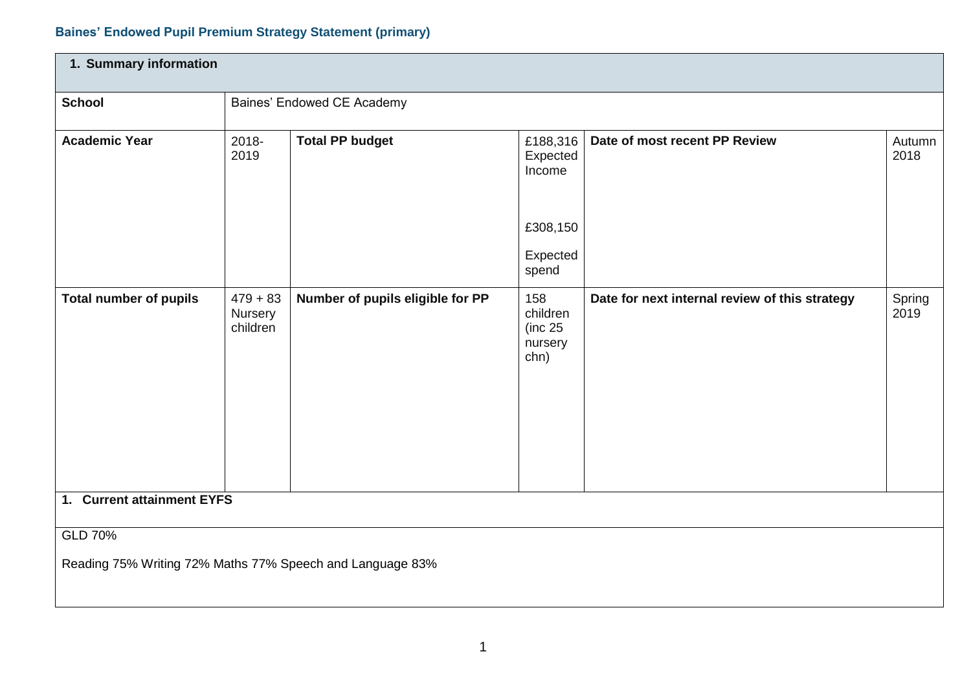## **Baines' Endowed Pupil Premium Strategy Statement (primary)**

| 1. Summary information                                    |                                   |                                   |                                                |                                                |                |  |
|-----------------------------------------------------------|-----------------------------------|-----------------------------------|------------------------------------------------|------------------------------------------------|----------------|--|
| <b>School</b>                                             |                                   | <b>Baines' Endowed CE Academy</b> |                                                |                                                |                |  |
| <b>Academic Year</b>                                      | 2018-<br>2019                     | <b>Total PP budget</b>            | £188,316<br>Expected<br>Income                 | Date of most recent PP Review                  | Autumn<br>2018 |  |
|                                                           |                                   |                                   | £308,150                                       |                                                |                |  |
|                                                           |                                   |                                   | Expected<br>spend                              |                                                |                |  |
| <b>Total number of pupils</b>                             | $479 + 83$<br>Nursery<br>children | Number of pupils eligible for PP  | 158<br>children<br>(inc 25)<br>nursery<br>chn) | Date for next internal review of this strategy | Spring<br>2019 |  |
| 1. Current attainment EYFS                                |                                   |                                   |                                                |                                                |                |  |
| GLD 70%                                                   |                                   |                                   |                                                |                                                |                |  |
| Reading 75% Writing 72% Maths 77% Speech and Language 83% |                                   |                                   |                                                |                                                |                |  |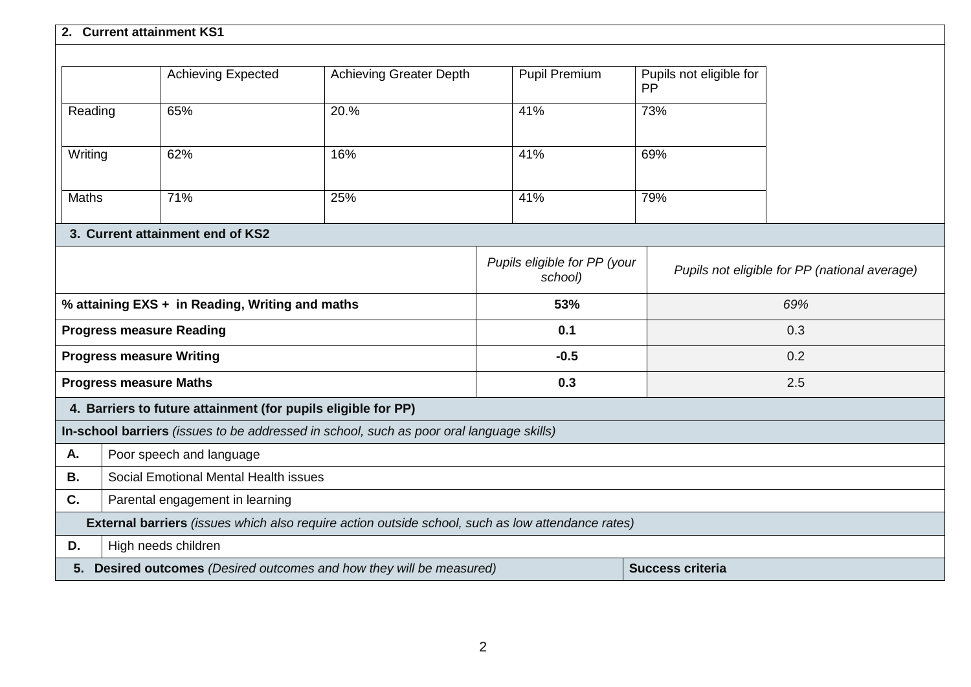|                                                 | 2. Current attainment KS1                                     |                                                                                                   |                              |                         |                                               |
|-------------------------------------------------|---------------------------------------------------------------|---------------------------------------------------------------------------------------------------|------------------------------|-------------------------|-----------------------------------------------|
|                                                 |                                                               |                                                                                                   |                              |                         |                                               |
|                                                 |                                                               |                                                                                                   |                              |                         |                                               |
|                                                 | <b>Achieving Expected</b>                                     | <b>Achieving Greater Depth</b>                                                                    | <b>Pupil Premium</b>         | Pupils not eligible for |                                               |
|                                                 |                                                               |                                                                                                   |                              | <b>PP</b>               |                                               |
| Reading                                         | 65%                                                           | 20.%                                                                                              | 41%                          | 73%                     |                                               |
|                                                 |                                                               |                                                                                                   |                              |                         |                                               |
| Writing                                         | 62%                                                           | 16%                                                                                               | 41%                          | 69%                     |                                               |
|                                                 |                                                               |                                                                                                   |                              |                         |                                               |
|                                                 |                                                               |                                                                                                   |                              |                         |                                               |
| <b>Maths</b>                                    | 71%                                                           | 25%                                                                                               | 41%                          | 79%                     |                                               |
|                                                 |                                                               |                                                                                                   |                              |                         |                                               |
|                                                 | 3. Current attainment end of KS2                              |                                                                                                   |                              |                         |                                               |
|                                                 |                                                               |                                                                                                   | Pupils eligible for PP (your |                         |                                               |
|                                                 |                                                               |                                                                                                   | school)                      |                         | Pupils not eligible for PP (national average) |
| % attaining EXS + in Reading, Writing and maths |                                                               |                                                                                                   | 53%                          |                         | 69%                                           |
|                                                 | <b>Progress measure Reading</b>                               |                                                                                                   | 0.1                          |                         | 0.3                                           |
|                                                 | <b>Progress measure Writing</b>                               |                                                                                                   | $-0.5$                       |                         | 0.2                                           |
|                                                 | <b>Progress measure Maths</b>                                 |                                                                                                   | 0.3                          |                         | 2.5                                           |
|                                                 | 4. Barriers to future attainment (for pupils eligible for PP) |                                                                                                   |                              |                         |                                               |
|                                                 |                                                               | In-school barriers (issues to be addressed in school, such as poor oral language skills)          |                              |                         |                                               |
| Α.                                              | Poor speech and language                                      |                                                                                                   |                              |                         |                                               |
| <b>B.</b>                                       | Social Emotional Mental Health issues                         |                                                                                                   |                              |                         |                                               |
| C.                                              | Parental engagement in learning                               |                                                                                                   |                              |                         |                                               |
|                                                 |                                                               | External barriers (issues which also require action outside school, such as low attendance rates) |                              |                         |                                               |
| D.                                              | High needs children                                           |                                                                                                   |                              |                         |                                               |
| 5.                                              |                                                               | Desired outcomes (Desired outcomes and how they will be measured)                                 |                              | <b>Success criteria</b> |                                               |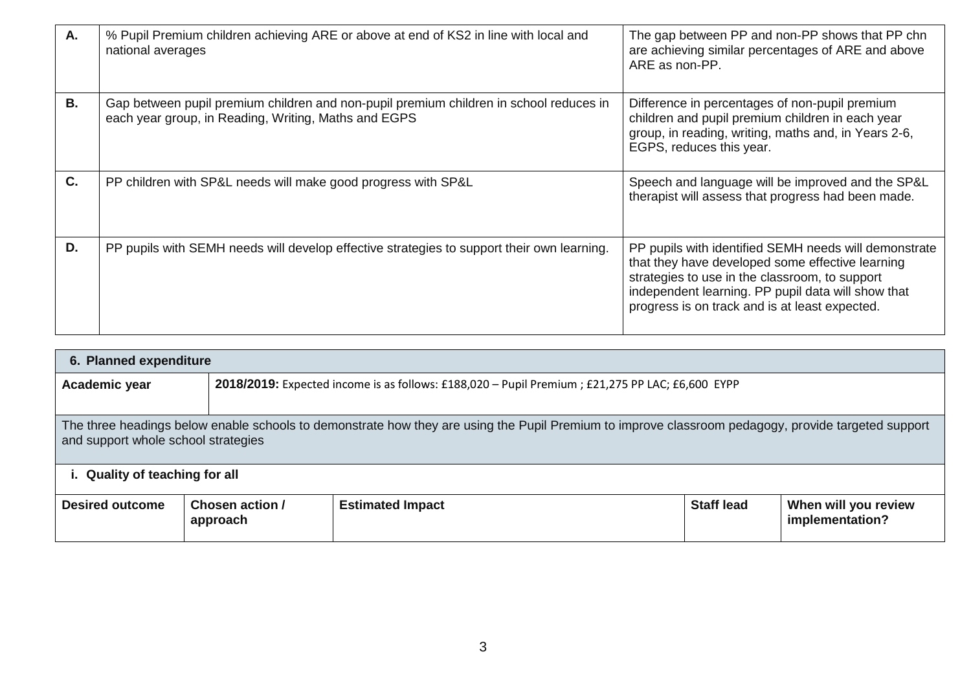| Α.        | % Pupil Premium children achieving ARE or above at end of KS2 in line with local and<br>national averages                                      | The gap between PP and non-PP shows that PP chn<br>are achieving similar percentages of ARE and above<br>ARE as non-PP.                                                                                                                                             |
|-----------|------------------------------------------------------------------------------------------------------------------------------------------------|---------------------------------------------------------------------------------------------------------------------------------------------------------------------------------------------------------------------------------------------------------------------|
| <b>B.</b> | Gap between pupil premium children and non-pupil premium children in school reduces in<br>each year group, in Reading, Writing, Maths and EGPS | Difference in percentages of non-pupil premium<br>children and pupil premium children in each year<br>group, in reading, writing, maths and, in Years 2-6,<br>EGPS, reduces this year.                                                                              |
| C.        | PP children with SP&L needs will make good progress with SP&L                                                                                  | Speech and language will be improved and the SP&L<br>therapist will assess that progress had been made.                                                                                                                                                             |
| D.        | PP pupils with SEMH needs will develop effective strategies to support their own learning.                                                     | PP pupils with identified SEMH needs will demonstrate<br>that they have developed some effective learning<br>strategies to use in the classroom, to support<br>independent learning. PP pupil data will show that<br>progress is on track and is at least expected. |

| 6. Planned expenditure                                                                                                                                                                     |                             |                                                                                                  |  |                   |                                         |
|--------------------------------------------------------------------------------------------------------------------------------------------------------------------------------------------|-----------------------------|--------------------------------------------------------------------------------------------------|--|-------------------|-----------------------------------------|
| Academic year                                                                                                                                                                              |                             | 2018/2019: Expected income is as follows: £188,020 - Pupil Premium ; £21,275 PP LAC; £6,600 EYPP |  |                   |                                         |
| The three headings below enable schools to demonstrate how they are using the Pupil Premium to improve classroom pedagogy, provide targeted support<br>and support whole school strategies |                             |                                                                                                  |  |                   |                                         |
| <b>Quality of teaching for all</b>                                                                                                                                                         |                             |                                                                                                  |  |                   |                                         |
| <b>Desired outcome</b>                                                                                                                                                                     | Chosen action /<br>approach | <b>Estimated Impact</b>                                                                          |  | <b>Staff lead</b> | When will you review<br>implementation? |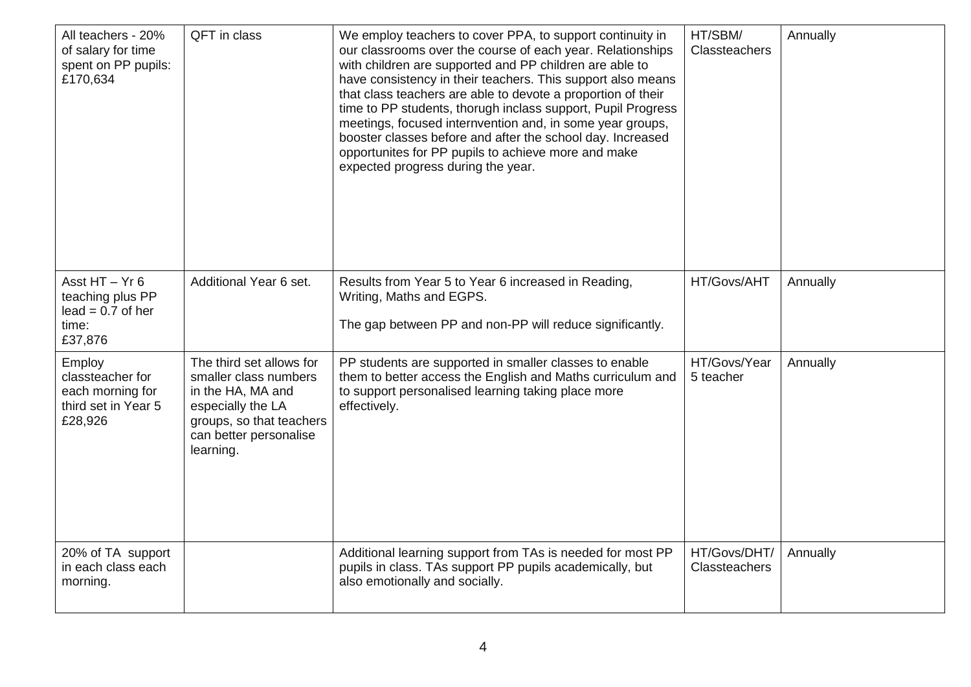| All teachers - 20%<br>of salary for time<br>spent on PP pupils:<br>£170,634      | QFT in class                                                                                                                                                   | We employ teachers to cover PPA, to support continuity in<br>our classrooms over the course of each year. Relationships<br>with children are supported and PP children are able to<br>have consistency in their teachers. This support also means<br>that class teachers are able to devote a proportion of their<br>time to PP students, thorugh inclass support, Pupil Progress<br>meetings, focused internvention and, in some year groups,<br>booster classes before and after the school day. Increased<br>opportunites for PP pupils to achieve more and make<br>expected progress during the year. | HT/SBM/<br>Classteachers      | Annually |
|----------------------------------------------------------------------------------|----------------------------------------------------------------------------------------------------------------------------------------------------------------|-----------------------------------------------------------------------------------------------------------------------------------------------------------------------------------------------------------------------------------------------------------------------------------------------------------------------------------------------------------------------------------------------------------------------------------------------------------------------------------------------------------------------------------------------------------------------------------------------------------|-------------------------------|----------|
| Asst HT - Yr 6<br>teaching plus PP<br>$lead = 0.7$ of her<br>time:<br>£37,876    | Additional Year 6 set.                                                                                                                                         | Results from Year 5 to Year 6 increased in Reading,<br>Writing, Maths and EGPS.<br>The gap between PP and non-PP will reduce significantly.                                                                                                                                                                                                                                                                                                                                                                                                                                                               | HT/Govs/AHT                   | Annually |
| Employ<br>classteacher for<br>each morning for<br>third set in Year 5<br>£28,926 | The third set allows for<br>smaller class numbers<br>in the HA, MA and<br>especially the LA<br>groups, so that teachers<br>can better personalise<br>learning. | PP students are supported in smaller classes to enable<br>them to better access the English and Maths curriculum and<br>to support personalised learning taking place more<br>effectively.                                                                                                                                                                                                                                                                                                                                                                                                                | HT/Govs/Year<br>5 teacher     | Annually |
| 20% of TA support<br>in each class each<br>morning.                              |                                                                                                                                                                | Additional learning support from TAs is needed for most PP<br>pupils in class. TAs support PP pupils academically, but<br>also emotionally and socially.                                                                                                                                                                                                                                                                                                                                                                                                                                                  | HT/Govs/DHT/<br>Classteachers | Annually |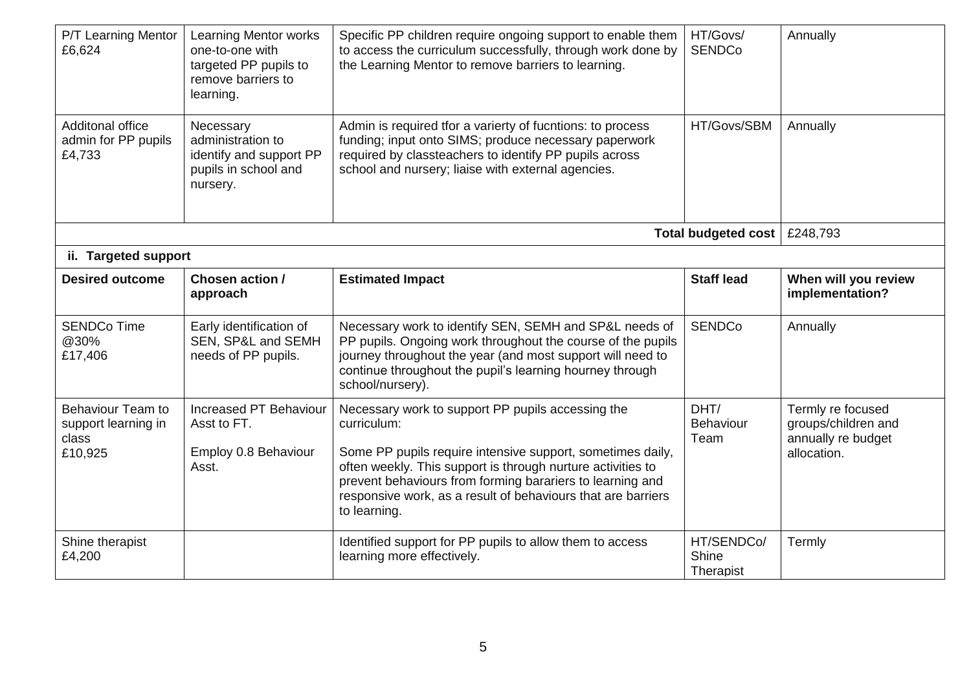| P/T Learning Mentor<br>£6,624                                | <b>Learning Mentor works</b><br>one-to-one with<br>targeted PP pupils to<br>remove barriers to<br>learning. | Specific PP children require ongoing support to enable them<br>to access the curriculum successfully, through work done by<br>the Learning Mentor to remove barriers to learning.                                                                                                                                                          | HT/Govs/<br><b>SENDCo</b>        | Annually                                                                      |
|--------------------------------------------------------------|-------------------------------------------------------------------------------------------------------------|--------------------------------------------------------------------------------------------------------------------------------------------------------------------------------------------------------------------------------------------------------------------------------------------------------------------------------------------|----------------------------------|-------------------------------------------------------------------------------|
| Additonal office<br>admin for PP pupils<br>£4,733            | Necessary<br>administration to<br>identify and support PP<br>pupils in school and<br>nursery.               | Admin is required tfor a varierty of fucntions: to process<br>funding; input onto SIMS; produce necessary paperwork<br>required by classteachers to identify PP pupils across<br>school and nursery; liaise with external agencies.                                                                                                        | HT/Govs/SBM                      | Annually                                                                      |
|                                                              | <b>Total budgeted cost</b><br>£248,793                                                                      |                                                                                                                                                                                                                                                                                                                                            |                                  |                                                                               |
| ii. Targeted support                                         |                                                                                                             |                                                                                                                                                                                                                                                                                                                                            |                                  |                                                                               |
| <b>Desired outcome</b>                                       | Chosen action /<br>approach                                                                                 | <b>Estimated Impact</b>                                                                                                                                                                                                                                                                                                                    | <b>Staff lead</b>                | When will you review<br>implementation?                                       |
| <b>SENDCo Time</b><br>@30%<br>£17,406                        | Early identification of<br>SEN, SP&L and SEMH<br>needs of PP pupils.                                        | Necessary work to identify SEN, SEMH and SP&L needs of<br>PP pupils. Ongoing work throughout the course of the pupils<br>journey throughout the year (and most support will need to<br>continue throughout the pupil's learning hourney through<br>school/nursery).                                                                        | <b>SENDCo</b>                    | Annually                                                                      |
| Behaviour Team to<br>support learning in<br>class<br>£10,925 | <b>Increased PT Behaviour</b><br>Asst to FT.<br>Employ 0.8 Behaviour<br>Asst.                               | Necessary work to support PP pupils accessing the<br>curriculum:<br>Some PP pupils require intensive support, sometimes daily,<br>often weekly. This support is through nurture activities to<br>prevent behaviours from forming barariers to learning and<br>responsive work, as a result of behaviours that are barriers<br>to learning. | DHT/<br>Behaviour<br>Team        | Termly re focused<br>groups/children and<br>annually re budget<br>allocation. |
| Shine therapist<br>£4,200                                    |                                                                                                             | Identified support for PP pupils to allow them to access<br>learning more effectively.                                                                                                                                                                                                                                                     | HT/SENDCo/<br>Shine<br>Therapist | Termly                                                                        |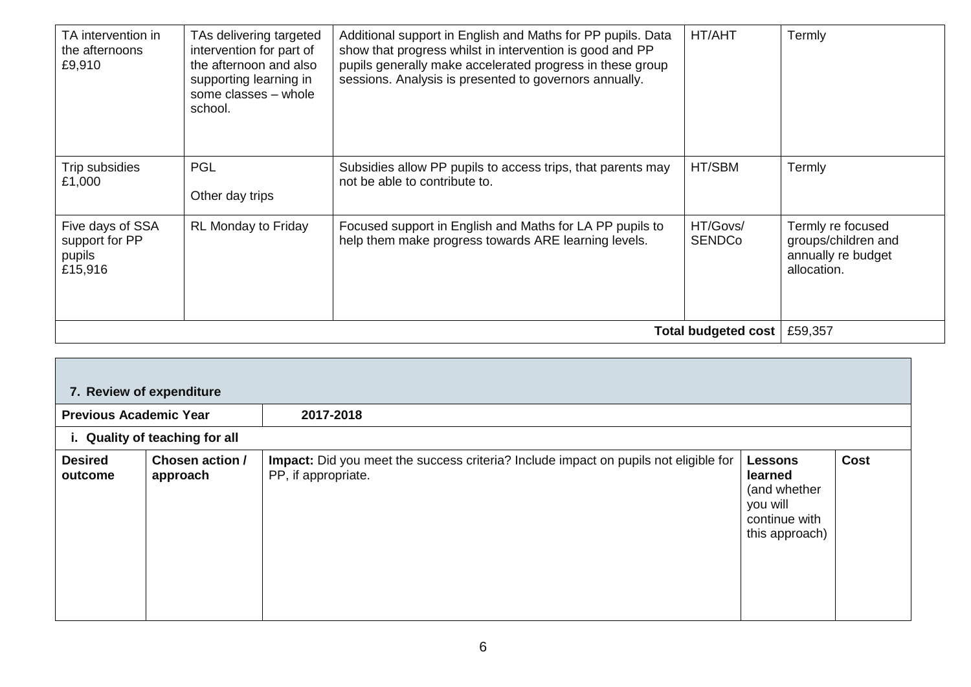| TA intervention in<br>the afternoons<br>£9,910          | TAs delivering targeted<br>intervention for part of<br>the afternoon and also<br>supporting learning in<br>some classes - whole<br>school. | Additional support in English and Maths for PP pupils. Data<br>show that progress whilst in intervention is good and PP<br>pupils generally make accelerated progress in these group<br>sessions. Analysis is presented to governors annually. | HT/AHT                    | Termly                                                                        |
|---------------------------------------------------------|--------------------------------------------------------------------------------------------------------------------------------------------|------------------------------------------------------------------------------------------------------------------------------------------------------------------------------------------------------------------------------------------------|---------------------------|-------------------------------------------------------------------------------|
| Trip subsidies<br>£1,000                                | <b>PGL</b><br>Other day trips                                                                                                              | Subsidies allow PP pupils to access trips, that parents may<br>not be able to contribute to.                                                                                                                                                   | HT/SBM                    | Termly                                                                        |
| Five days of SSA<br>support for PP<br>pupils<br>£15,916 | <b>RL Monday to Friday</b>                                                                                                                 | Focused support in English and Maths for LA PP pupils to<br>help them make progress towards ARE learning levels.                                                                                                                               | HT/Govs/<br><b>SENDCo</b> | Termly re focused<br>groups/children and<br>annually re budget<br>allocation. |
|                                                         | Total budgeted cost<br>£59,357                                                                                                             |                                                                                                                                                                                                                                                |                           |                                                                               |

|                               | 7. Review of expenditure       |                                                                                                             |                                                                                          |             |  |  |  |  |
|-------------------------------|--------------------------------|-------------------------------------------------------------------------------------------------------------|------------------------------------------------------------------------------------------|-------------|--|--|--|--|
| <b>Previous Academic Year</b> |                                | 2017-2018                                                                                                   |                                                                                          |             |  |  |  |  |
|                               | i. Quality of teaching for all |                                                                                                             |                                                                                          |             |  |  |  |  |
| <b>Desired</b><br>outcome     | Chosen action /<br>approach    | Impact: Did you meet the success criteria? Include impact on pupils not eligible for<br>PP, if appropriate. | <b>Lessons</b><br>learned<br>(and whether<br>you will<br>continue with<br>this approach) | <b>Cost</b> |  |  |  |  |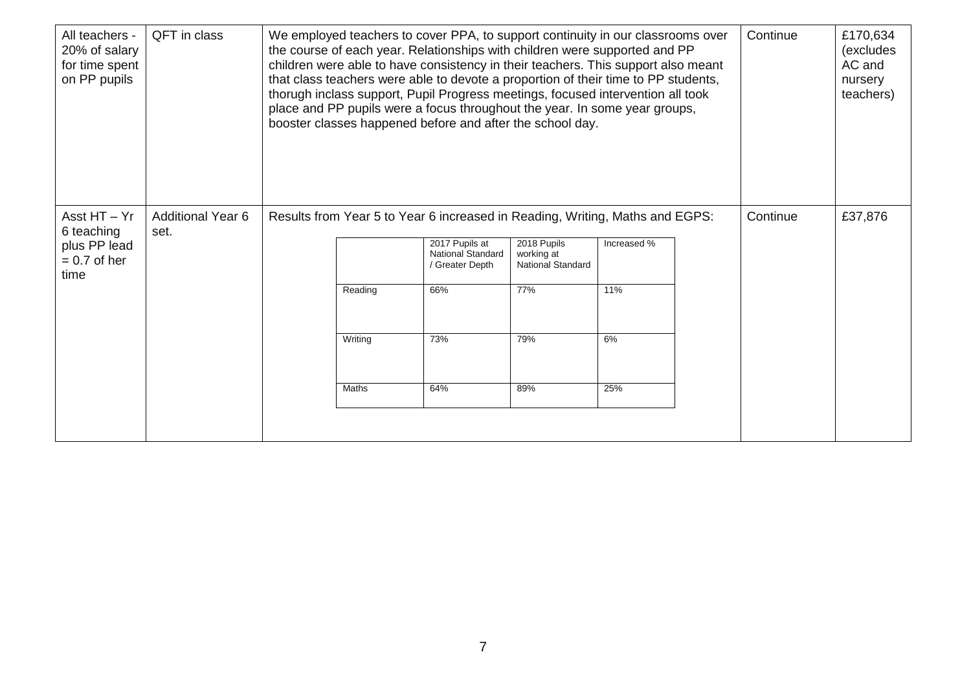| All teachers -<br>20% of salary<br>for time spent<br>on PP pupils | QFT in class                     | We employed teachers to cover PPA, to support continuity in our classrooms over<br>the course of each year. Relationships with children were supported and PP<br>children were able to have consistency in their teachers. This support also meant<br>that class teachers were able to devote a proportion of their time to PP students,<br>thorugh inclass support, Pupil Progress meetings, focused intervention all took<br>place and PP pupils were a focus throughout the year. In some year groups,<br>booster classes happened before and after the school day. |                                                                              |                                                        |                                                |             | Continue | £170,634<br>(excludes<br>AC and<br>nursery<br>teachers) |         |
|-------------------------------------------------------------------|----------------------------------|------------------------------------------------------------------------------------------------------------------------------------------------------------------------------------------------------------------------------------------------------------------------------------------------------------------------------------------------------------------------------------------------------------------------------------------------------------------------------------------------------------------------------------------------------------------------|------------------------------------------------------------------------------|--------------------------------------------------------|------------------------------------------------|-------------|----------|---------------------------------------------------------|---------|
| Asst HT - Yr<br>6 teaching                                        | <b>Additional Year 6</b><br>set. |                                                                                                                                                                                                                                                                                                                                                                                                                                                                                                                                                                        | Results from Year 5 to Year 6 increased in Reading, Writing, Maths and EGPS: |                                                        |                                                |             |          | Continue                                                | £37,876 |
| plus PP lead<br>$= 0.7$ of her<br>time                            |                                  |                                                                                                                                                                                                                                                                                                                                                                                                                                                                                                                                                                        |                                                                              | 2017 Pupils at<br>National Standard<br>/ Greater Depth | 2018 Pupils<br>working at<br>National Standard | Increased % |          |                                                         |         |
|                                                                   |                                  |                                                                                                                                                                                                                                                                                                                                                                                                                                                                                                                                                                        | Reading                                                                      | 66%                                                    | 77%                                            | 11%         |          |                                                         |         |
|                                                                   |                                  |                                                                                                                                                                                                                                                                                                                                                                                                                                                                                                                                                                        | Writing                                                                      | 73%                                                    | 79%                                            | 6%          |          |                                                         |         |
|                                                                   |                                  |                                                                                                                                                                                                                                                                                                                                                                                                                                                                                                                                                                        | Maths                                                                        | 64%                                                    | 89%                                            | 25%         |          |                                                         |         |
|                                                                   |                                  |                                                                                                                                                                                                                                                                                                                                                                                                                                                                                                                                                                        |                                                                              |                                                        |                                                |             |          |                                                         |         |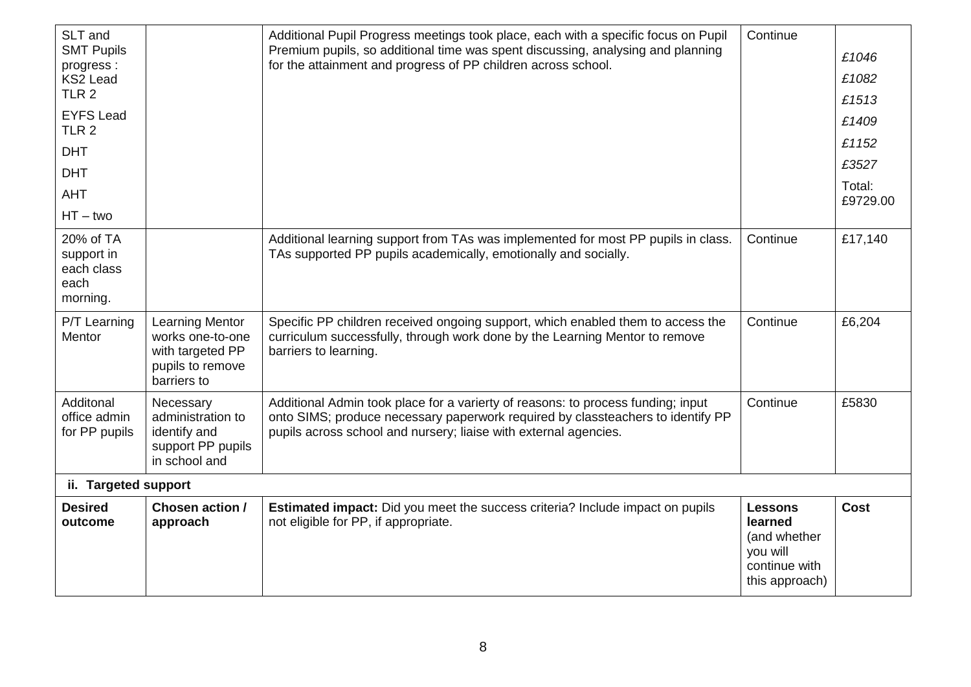| SLT and<br><b>SMT Pupils</b><br>progress:<br><b>KS2 Lead</b><br>TLR <sub>2</sub> |                                                                                                   | Additional Pupil Progress meetings took place, each with a specific focus on Pupil<br>Premium pupils, so additional time was spent discussing, analysing and planning<br>for the attainment and progress of PP children across school.  | Continue                                                                                 | £1046<br>£1082<br>£1513 |
|----------------------------------------------------------------------------------|---------------------------------------------------------------------------------------------------|-----------------------------------------------------------------------------------------------------------------------------------------------------------------------------------------------------------------------------------------|------------------------------------------------------------------------------------------|-------------------------|
| <b>EYFS Lead</b><br>TLR <sub>2</sub>                                             |                                                                                                   |                                                                                                                                                                                                                                         |                                                                                          | £1409                   |
| <b>DHT</b>                                                                       |                                                                                                   |                                                                                                                                                                                                                                         |                                                                                          | £1152                   |
| <b>DHT</b>                                                                       |                                                                                                   |                                                                                                                                                                                                                                         |                                                                                          | £3527                   |
| <b>AHT</b>                                                                       |                                                                                                   |                                                                                                                                                                                                                                         |                                                                                          | Total:<br>£9729.00      |
| $HT - two$                                                                       |                                                                                                   |                                                                                                                                                                                                                                         |                                                                                          |                         |
| 20% of TA<br>support in<br>each class<br>each<br>morning.                        |                                                                                                   | Additional learning support from TAs was implemented for most PP pupils in class.<br>TAs supported PP pupils academically, emotionally and socially.                                                                                    | Continue                                                                                 | £17,140                 |
| P/T Learning<br>Mentor                                                           | <b>Learning Mentor</b><br>works one-to-one<br>with targeted PP<br>pupils to remove<br>barriers to | Specific PP children received ongoing support, which enabled them to access the<br>curriculum successfully, through work done by the Learning Mentor to remove<br>barriers to learning.                                                 | Continue                                                                                 | £6,204                  |
| Additonal<br>office admin<br>for PP pupils                                       | Necessary<br>administration to<br>identify and<br>support PP pupils<br>in school and              | Additional Admin took place for a varierty of reasons: to process funding; input<br>onto SIMS; produce necessary paperwork required by classteachers to identify PP<br>pupils across school and nursery; liaise with external agencies. | Continue                                                                                 | £5830                   |
| ii. Targeted support                                                             |                                                                                                   |                                                                                                                                                                                                                                         |                                                                                          |                         |
| <b>Desired</b><br>outcome                                                        | Chosen action /<br>approach                                                                       | <b>Estimated impact:</b> Did you meet the success criteria? Include impact on pupils<br>not eligible for PP, if appropriate.                                                                                                            | <b>Lessons</b><br>learned<br>(and whether<br>you will<br>continue with<br>this approach) | <b>Cost</b>             |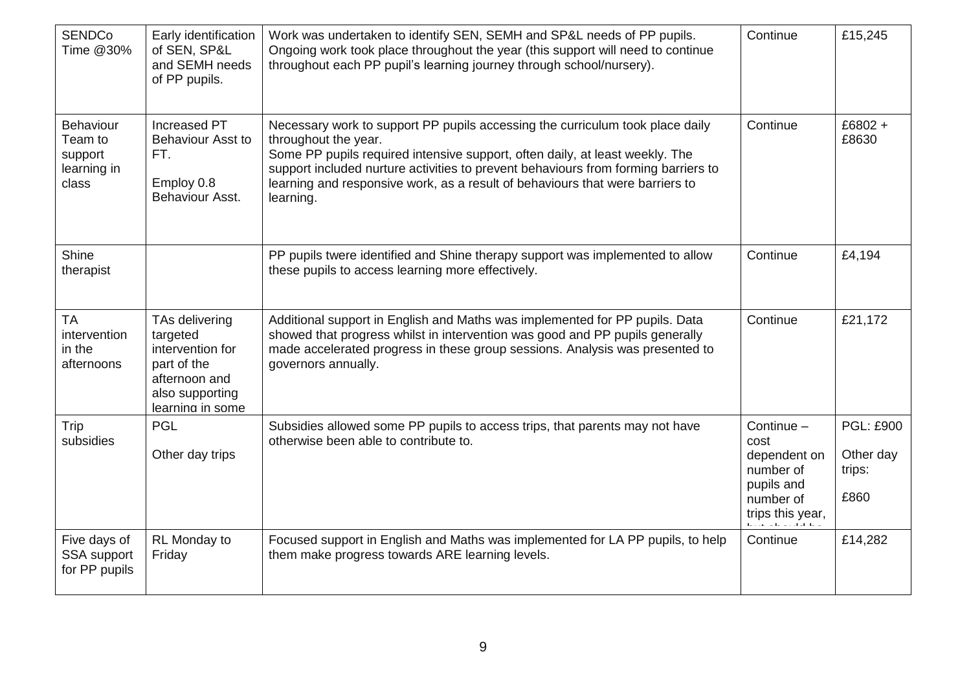| <b>SENDCo</b><br>Time @30%                              | Early identification<br>of SEN, SP&L<br>and SEMH needs<br>of PP pupils.                                               | Work was undertaken to identify SEN, SEMH and SP&L needs of PP pupils.<br>Ongoing work took place throughout the year (this support will need to continue<br>throughout each PP pupil's learning journey through school/nursery).                                                                                                                                         | Continue                                                                                         | £15,245                                         |
|---------------------------------------------------------|-----------------------------------------------------------------------------------------------------------------------|---------------------------------------------------------------------------------------------------------------------------------------------------------------------------------------------------------------------------------------------------------------------------------------------------------------------------------------------------------------------------|--------------------------------------------------------------------------------------------------|-------------------------------------------------|
| Behaviour<br>Team to<br>support<br>learning in<br>class | Increased PT<br><b>Behaviour Asst to</b><br>FT.<br>Employ 0.8<br>Behaviour Asst.                                      | Necessary work to support PP pupils accessing the curriculum took place daily<br>throughout the year.<br>Some PP pupils required intensive support, often daily, at least weekly. The<br>support included nurture activities to prevent behaviours from forming barriers to<br>learning and responsive work, as a result of behaviours that were barriers to<br>learning. | Continue                                                                                         | £6802 +<br>£8630                                |
| Shine<br>therapist                                      |                                                                                                                       | PP pupils twere identified and Shine therapy support was implemented to allow<br>these pupils to access learning more effectively.                                                                                                                                                                                                                                        | Continue                                                                                         | £4,194                                          |
| <b>TA</b><br>intervention<br>in the<br>afternoons       | TAs delivering<br>targeted<br>intervention for<br>part of the<br>afternoon and<br>also supporting<br>learning in some | Additional support in English and Maths was implemented for PP pupils. Data<br>showed that progress whilst in intervention was good and PP pupils generally<br>made accelerated progress in these group sessions. Analysis was presented to<br>governors annually.                                                                                                        | Continue                                                                                         | £21,172                                         |
| Trip<br>subsidies                                       | <b>PGL</b><br>Other day trips                                                                                         | Subsidies allowed some PP pupils to access trips, that parents may not have<br>otherwise been able to contribute to.                                                                                                                                                                                                                                                      | Continue $-$<br>cost<br>dependent on<br>number of<br>pupils and<br>number of<br>trips this year, | <b>PGL: £900</b><br>Other day<br>trips:<br>£860 |
| Five days of<br><b>SSA</b> support<br>for PP pupils     | RL Monday to<br>Friday                                                                                                | Focused support in English and Maths was implemented for LA PP pupils, to help<br>them make progress towards ARE learning levels.                                                                                                                                                                                                                                         | Continue                                                                                         | £14,282                                         |